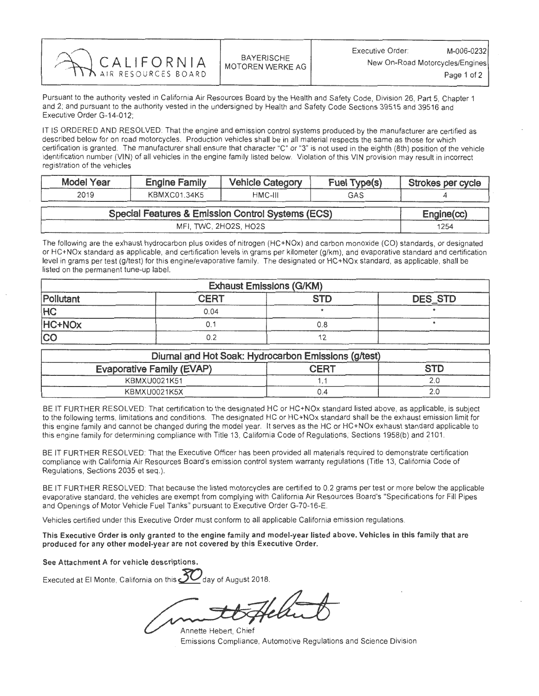| CALIFORNIA | <b>BAYERISCHE</b><br>MOTOREN WERKE AG | M-006-0232<br>Executive Order:<br>New On-Road Motorcycles/Engines<br>Page 1 of 2 |
|------------|---------------------------------------|----------------------------------------------------------------------------------|
|            |                                       |                                                                                  |

Pursuant to the authority vested in California Air Resources Board by the Health and Safety Code, Division 26, Part 5, Chapter 1 and 2; and pursuant to the authority vested in the undersigned by Health and Safety Code Sections 39515 and 39516 and Executive Order G-14-012;

IT IS ORDERED AND RESOLVED: That the engine and emission control systems produced. by the manufacturer are certified as described below for on road motorcycles. Production vehicles shall be in all material respects the same as those for which certification is granted. The manufacturer shall ensure that character "C" or "3" is not used in the eighth (8th) position of the vehicle identification number (VIN) of all vehicles in the engine family listed below. Violation of this VIN provision may result in incorrect registration of the vehicles

| <b>Model Year</b>     | <b>Engine Family</b>                              |         | Fuel Type(s) | Strokes per cycle |  |
|-----------------------|---------------------------------------------------|---------|--------------|-------------------|--|
| 2019                  | KBMXC01.34K5                                      | HMC-III | GAS          |                   |  |
|                       | Special Features & Emission Control Systems (ECS) |         |              |                   |  |
| MFI, TWC, 2HO2S, HO2S |                                                   |         | 1254         |                   |  |

The following are the exhaust hydrocarbon plus oxides of nitrogen (HC+NOx) and carbon monoxide (CO) standards, or designated or HC+NOx standard as applicable, and certification levels in grams per kilometer (g/km), and evaporative standard and certification level in grams per test (g/test) for this engine/evaporative family. The designated or HC+NOx standard, as applicable, shall be listed on the permanent tune-up label.

| <b>Exhaust Emissions (G/KM)</b> |             |     |                |  |
|---------------------------------|-------------|-----|----------------|--|
| Pollutant                       | <b>CERT</b> | STD | <b>DES STD</b> |  |
| <b>HC</b>                       | 0.04        |     |                |  |
| HC+NO <sub>x</sub>              | Э.          | 0.8 |                |  |
| <b>CC</b>                       | 0.2         |     |                |  |

| Diumal and Hot Soak: Hydrocarbon Emissions (g/test) |             |            |  |  |
|-----------------------------------------------------|-------------|------------|--|--|
| <b>Evaporative Family (EVAP)</b>                    | <b>CERT</b> | <b>STD</b> |  |  |
| KBMXU0021K51                                        |             |            |  |  |
| KBMXU0021K5X                                        |             |            |  |  |

BE IT FURTHER RESOLVED. That certification to the designated HC or HC+NOx standard listed above, as applicable, is subject to the following terms, limitations and conditions. The designated HC or HC+NOx standard shall be the exhaust emission limit it this engine family and cannot be changed during the model year. It serves as the HC or HC+NOx exhaust standard applicable this engine family for determining compliance with Title 13, California Code of Regulations, Sections 1958(b) and 2101.

BE IT FURTHER RESOLVED. That the Executive Officer has been provided all materials required to demonstrate certification. compliance with California Air Resources Board's emission control system warranty regulations (Title 13, California Code of Regulations, Sections 2035 et seq.).

BE IT FURTHER RESOLVED: That because the listed motorcycles are certified to 0.2 grams per test or more below the applicable evaporative standard, the vehicles are exempt from complying with California Air Resources Board's "Specifications for Fill Pipes and Openings of Motor Vehicle Fuel Tanks" pursuant to Executive Order G-70-16-E.

Vehicles certified under this Executive Order must conform to all applicable California emission regulations.

This Executive Order is only granted to the engine family and model-year listed above. Vehicles in this family that are produced for any other model-year are not covered by this Executive Order.

See Attachment A for vehicle descriptions.

Executed at El Monte, California on this  $\underline{\mathbf{37}}$ day of August 2018.

Annette Hebert, Chief Emissions Compliance, Automotive Regulations and Science Division